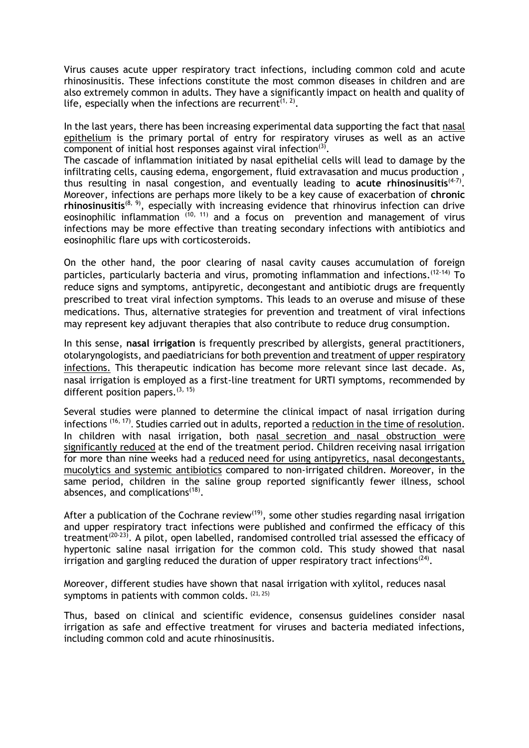Virus causes acute upper respiratory tract infections, including common cold and acute rhinosinusitis. These infections constitute the most common diseases in children and are also extremely common in adults. They have a significantly impact on health and quality of life, especially when the infections are recurrent<sup>[\(1,](#page-1-0) [2\)](#page-1-1)</sup>.

In the last years, there has been increasing experimental data supporting the fact that nasal epithelium is the primary portal of entry for respiratory viruses as well as an active component of initial host responses against viral infection $(3)$ .

The cascade of inflammation initiated by nasal epithelial cells will lead to damage by the infiltrating cells, causing edema, engorgement, fluid extravasation and mucus production , thus resulting in nasal congestion, and eventually leading to acute rhinosinusitis<sup>[\(4-7\)](#page-1-3)</sup>. Moreover, infections are perhaps more likely to be a key cause of exacerbation of **chronic**  rhinosinusitis<sup>[\(8,](#page-1-4) [9\)](#page-1-5)</sup>, especially with increasing evidence that rhinovirus infection can drive eosinophilic inflammation  $(10, 11)$  $(10, 11)$  and a focus on prevention and management of virus infections may be more effective than treating secondary infections with antibiotics and eosinophilic flare ups with corticosteroids.

On the other hand, the poor clearing of nasal cavity causes accumulation of foreign particles, particularly bacteria and virus, promoting inflammation and infections.<sup>[\(12-14\)](#page-1-8)</sup> To reduce signs and symptoms, antipyretic, decongestant and antibiotic drugs are frequently prescribed to treat viral infection symptoms. This leads to an overuse and misuse of these medications. Thus, alternative strategies for prevention and treatment of viral infections may represent key adjuvant therapies that also contribute to reduce drug consumption.

In this sense, **nasal irrigation** is frequently prescribed by allergists, general practitioners, otolaryngologists, and paediatricians for both prevention and treatment of upper respiratory infections. This therapeutic indication has become more relevant since last decade. As, nasal irrigation is employed as a first-line treatment for URTI symptoms, recommended by different position papers.<sup>[\(3,](#page-1-2) [15\)](#page-1-9)</sup>

Several studies were planned to determine the clinical impact of nasal irrigation during infections [\(16,](#page-1-10) [17\)](#page-1-11). Studies carried out in adults, reported a reduction in the time of resolution. In children with nasal irrigation, both nasal secretion and nasal obstruction were significantly reduced at the end of the treatment period. Children receiving nasal irrigation for more than nine weeks had a reduced need for using antipyretics, nasal decongestants, mucolytics and systemic antibiotics compared to non-irrigated children. Moreover, in the same period, children in the saline group reported significantly fewer illness, school absences, and complications<sup>[\(18\)](#page-1-12)</sup>.

After a publication of the Cochrane review<sup>[\(19\)](#page-1-13)</sup>, some other studies regarding nasal irrigation and upper respiratory tract infections were published and confirmed the efficacy of this treatment<sup>[\(20-23\)](#page-1-14)</sup>. A pilot, open labelled, randomised controlled trial assessed the efficacy of hypertonic saline nasal irrigation for the common cold. This study showed that nasal irrigation and gargling reduced the duration of upper respiratory tract infections<sup>[\(24\)](#page-2-0)</sup>.

Moreover, different studies have shown that nasal irrigation with xylitol, reduces nasal symptoms in patients with common colds.  $(21, 25)$  $(21, 25)$ 

Thus, based on clinical and scientific evidence, consensus guidelines consider nasal irrigation as safe and effective treatment for viruses and bacteria mediated infections, including common cold and acute rhinosinusitis.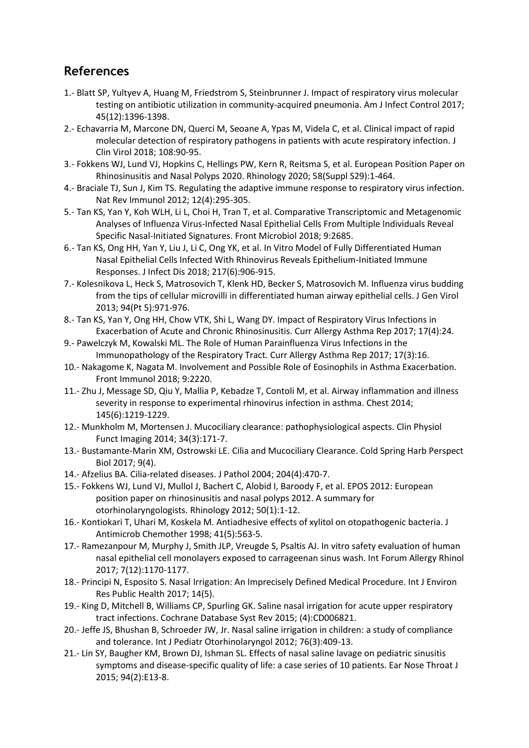## **References**

- <span id="page-1-0"></span>1.- Blatt SP, Yultyev A, Huang M, Friedstrom S, Steinbrunner J. Impact of respiratory virus molecular testing on antibiotic utilization in community-acquired pneumonia. Am J Infect Control 2017; 45(12):1396-1398.
- <span id="page-1-1"></span>2.- Echavarria M, Marcone DN, Querci M, Seoane A, Ypas M, Videla C, et al. Clinical impact of rapid molecular detection of respiratory pathogens in patients with acute respiratory infection. J Clin Virol 2018; 108:90-95.
- <span id="page-1-2"></span>3.- Fokkens WJ, Lund VJ, Hopkins C, Hellings PW, Kern R, Reitsma S, et al. European Position Paper on Rhinosinusitis and Nasal Polyps 2020. Rhinology 2020; 58(Suppl S29):1-464.
- <span id="page-1-3"></span>4.- Braciale TJ, Sun J, Kim TS. Regulating the adaptive immune response to respiratory virus infection. Nat Rev Immunol 2012; 12(4):295-305.
- 5.- Tan KS, Yan Y, Koh WLH, Li L, Choi H, Tran T, et al. Comparative Transcriptomic and Metagenomic Analyses of Influenza Virus-Infected Nasal Epithelial Cells From Multiple Individuals Reveal Specific Nasal-Initiated Signatures. Front Microbiol 2018; 9:2685.
- 6.- Tan KS, Ong HH, Yan Y, Liu J, Li C, Ong YK, et al. In Vitro Model of Fully Differentiated Human Nasal Epithelial Cells Infected With Rhinovirus Reveals Epithelium-Initiated Immune Responses. J Infect Dis 2018; 217(6):906-915.
- 7.- Kolesnikova L, Heck S, Matrosovich T, Klenk HD, Becker S, Matrosovich M. Influenza virus budding from the tips of cellular microvilli in differentiated human airway epithelial cells. J Gen Virol 2013; 94(Pt 5):971-976.
- <span id="page-1-4"></span>8.- Tan KS, Yan Y, Ong HH, Chow VTK, Shi L, Wang DY. Impact of Respiratory Virus Infections in Exacerbation of Acute and Chronic Rhinosinusitis. Curr Allergy Asthma Rep 2017; 17(4):24.
- <span id="page-1-5"></span>9.- Pawelczyk M, Kowalski ML. The Role of Human Parainfluenza Virus Infections in the Immunopathology of the Respiratory Tract. Curr Allergy Asthma Rep 2017; 17(3):16.
- <span id="page-1-6"></span>10.- Nakagome K, Nagata M. Involvement and Possible Role of Eosinophils in Asthma Exacerbation. Front Immunol 2018; 9:2220.
- <span id="page-1-7"></span>11.- Zhu J, Message SD, Qiu Y, Mallia P, Kebadze T, Contoli M, et al. Airway inflammation and illness severity in response to experimental rhinovirus infection in asthma. Chest 2014; 145(6):1219-1229.
- <span id="page-1-8"></span>12.- Munkholm M, Mortensen J. Mucociliary clearance: pathophysiological aspects. Clin Physiol Funct Imaging 2014; 34(3):171-7.
- 13.- Bustamante-Marin XM, Ostrowski LE. Cilia and Mucociliary Clearance. Cold Spring Harb Perspect Biol 2017; 9(4).
- 14.- Afzelius BA. Cilia-related diseases. J Pathol 2004; 204(4):470-7.
- <span id="page-1-9"></span>15.- Fokkens WJ, Lund VJ, Mullol J, Bachert C, Alobid I, Baroody F, et al. EPOS 2012: European position paper on rhinosinusitis and nasal polyps 2012. A summary for otorhinolaryngologists. Rhinology 2012; 50(1):1-12.
- <span id="page-1-10"></span>16.- Kontiokari T, Uhari M, Koskela M. Antiadhesive effects of xylitol on otopathogenic bacteria. J Antimicrob Chemother 1998; 41(5):563-5.
- <span id="page-1-11"></span>17.- Ramezanpour M, Murphy J, Smith JLP, Vreugde S, Psaltis AJ. In vitro safety evaluation of human nasal epithelial cell monolayers exposed to carrageenan sinus wash. Int Forum Allergy Rhinol 2017; 7(12):1170-1177.
- <span id="page-1-12"></span>18.- Principi N, Esposito S. Nasal Irrigation: An Imprecisely Defined Medical Procedure. Int J Environ Res Public Health 2017; 14(5).
- <span id="page-1-13"></span>19.- King D, Mitchell B, Williams CP, Spurling GK. Saline nasal irrigation for acute upper respiratory tract infections. Cochrane Database Syst Rev 2015; (4):CD006821.
- <span id="page-1-14"></span>20.- Jeffe JS, Bhushan B, Schroeder JW, Jr. Nasal saline irrigation in children: a study of compliance and tolerance. Int J Pediatr Otorhinolaryngol 2012; 76(3):409-13.
- <span id="page-1-15"></span>21.- Lin SY, Baugher KM, Brown DJ, Ishman SL. Effects of nasal saline lavage on pediatric sinusitis symptoms and disease-specific quality of life: a case series of 10 patients. Ear Nose Throat J 2015; 94(2):E13-8.